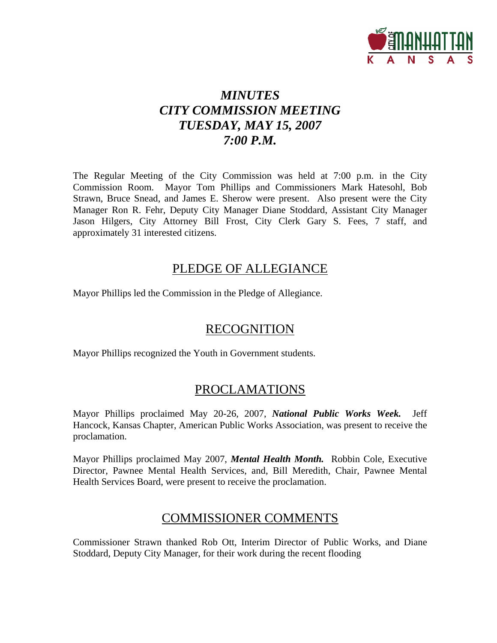

## *MINUTES CITY COMMISSION MEETING TUESDAY, MAY 15, 2007 7:00 P.M.*

The Regular Meeting of the City Commission was held at 7:00 p.m. in the City Commission Room. Mayor Tom Phillips and Commissioners Mark Hatesohl, Bob Strawn, Bruce Snead, and James E. Sherow were present. Also present were the City Manager Ron R. Fehr, Deputy City Manager Diane Stoddard, Assistant City Manager Jason Hilgers, City Attorney Bill Frost, City Clerk Gary S. Fees, 7 staff, and approximately 31 interested citizens.

## PLEDGE OF ALLEGIANCE

Mayor Phillips led the Commission in the Pledge of Allegiance.

## RECOGNITION

Mayor Phillips recognized the Youth in Government students.

## PROCLAMATIONS

Mayor Phillips proclaimed May 20-26, 2007, *National Public Works Week.* Jeff Hancock, Kansas Chapter, American Public Works Association, was present to receive the proclamation.

Mayor Phillips proclaimed May 2007, *Mental Health Month.* Robbin Cole, Executive Director, Pawnee Mental Health Services, and, Bill Meredith, Chair, Pawnee Mental Health Services Board, were present to receive the proclamation.

## COMMISSIONER COMMENTS

Commissioner Strawn thanked Rob Ott, Interim Director of Public Works, and Diane Stoddard, Deputy City Manager, for their work during the recent flooding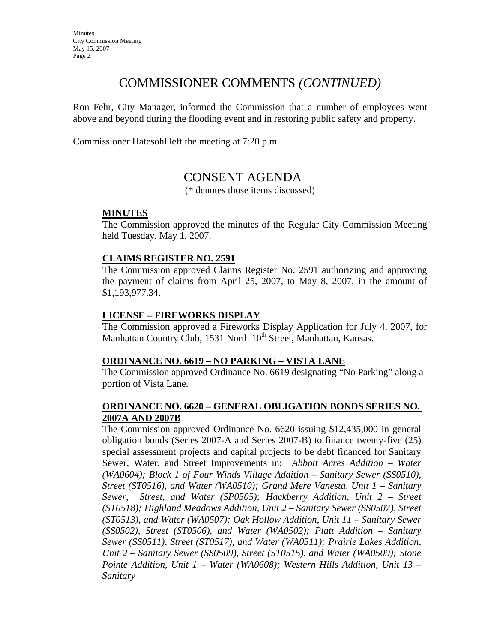## COMMISSIONER COMMENTS *(CONTINUED)*

Ron Fehr, City Manager, informed the Commission that a number of employees went above and beyond during the flooding event and in restoring public safety and property.

Commissioner Hatesohl left the meeting at 7:20 p.m.

## CONSENT AGENDA

(\* denotes those items discussed)

#### **MINUTES**

The Commission approved the minutes of the Regular City Commission Meeting held Tuesday, May 1, 2007.

#### **CLAIMS REGISTER NO. 2591**

The Commission approved Claims Register No. 2591 authorizing and approving the payment of claims from April 25, 2007, to May 8, 2007, in the amount of \$1,193,977.34.

#### **LICENSE – FIREWORKS DISPLAY**

The Commission approved a Fireworks Display Application for July 4, 2007, for Manhattan Country Club, 1531 North  $10<sup>th</sup>$  Street, Manhattan, Kansas.

#### **ORDINANCE NO. 6619 – NO PARKING – VISTA LANE**

The Commission approved Ordinance No. 6619 designating "No Parking" along a portion of Vista Lane.

#### **ORDINANCE NO. 6620 – GENERAL OBLIGATION BONDS SERIES NO. 2007A AND 2007B**

The Commission approved Ordinance No. 6620 issuing \$12,435,000 in general obligation bonds (Series 2007-A and Series 2007-B) to finance twenty-five (25) special assessment projects and capital projects to be debt financed for Sanitary Sewer, Water, and Street Improvements in: *Abbott Acres Addition – Water (WA0604); Block 1 of Four Winds Village Addition – Sanitary Sewer (SS0510), Street (ST0516), and Water (WA0510); Grand Mere Vanesta, Unit 1 – Sanitary Sewer, Street, and Water (SP0505); Hackberry Addition, Unit 2 – Street (ST0518); Highland Meadows Addition, Unit 2 – Sanitary Sewer (SS0507), Street (ST0513), and Water (WA0507); Oak Hollow Addition, Unit 11 – Sanitary Sewer (SS0502), Street (ST0506), and Water (WA0502); Platt Addition – Sanitary Sewer (SS0511), Street (ST0517), and Water (WA0511); Prairie Lakes Addition, Unit 2 – Sanitary Sewer (SS0509), Street (ST0515), and Water (WA0509); Stone Pointe Addition, Unit 1 – Water (WA0608); Western Hills Addition, Unit 13 – Sanitary*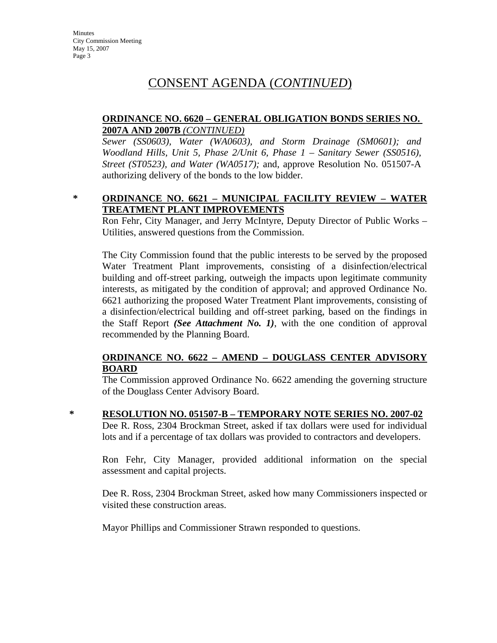## CONSENT AGENDA (*CONTINUED*)

#### **ORDINANCE NO. 6620 – GENERAL OBLIGATION BONDS SERIES NO. 2007A AND 2007B** *(CONTINUED)*

*Sewer (SS0603), Water (WA0603), and Storm Drainage (SM0601); and Woodland Hills, Unit 5, Phase 2/Unit 6, Phase 1 – Sanitary Sewer (SS0516), Street (ST0523), and Water (WA0517);* and, approve Resolution No. 051507-A authorizing delivery of the bonds to the low bidder.

#### **\* ORDINANCE NO. 6621 – MUNICIPAL FACILITY REVIEW – WATER TREATMENT PLANT IMPROVEMENTS**

Ron Fehr, City Manager, and Jerry McIntyre, Deputy Director of Public Works – Utilities, answered questions from the Commission.

The City Commission found that the public interests to be served by the proposed Water Treatment Plant improvements, consisting of a disinfection/electrical building and off-street parking, outweigh the impacts upon legitimate community interests, as mitigated by the condition of approval; and approved Ordinance No. 6621 authorizing the proposed Water Treatment Plant improvements, consisting of a disinfection/electrical building and off-street parking, based on the findings in the Staff Report *(See Attachment No. 1)*, with the one condition of approval recommended by the Planning Board.

#### **ORDINANCE NO. 6622 – AMEND – DOUGLASS CENTER ADVISORY BOARD**

The Commission approved Ordinance No. 6622 amending the governing structure of the Douglass Center Advisory Board.

**\* RESOLUTION NO. 051507-B – TEMPORARY NOTE SERIES NO. 2007-02** Dee R. Ross, 2304 Brockman Street, asked if tax dollars were used for individual

lots and if a percentage of tax dollars was provided to contractors and developers.

Ron Fehr, City Manager, provided additional information on the special assessment and capital projects.

Dee R. Ross, 2304 Brockman Street, asked how many Commissioners inspected or visited these construction areas.

Mayor Phillips and Commissioner Strawn responded to questions.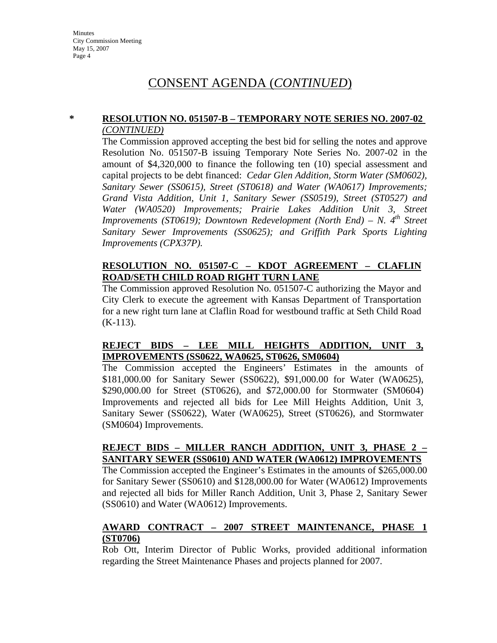## CONSENT AGENDA (*CONTINUED*)

#### **\* RESOLUTION NO. 051507-B – TEMPORARY NOTE SERIES NO. 2007-02**  *(CONTINUED)*

The Commission approved accepting the best bid for selling the notes and approve Resolution No. 051507-B issuing Temporary Note Series No. 2007-02 in the amount of \$4,320,000 to finance the following ten (10) special assessment and capital projects to be debt financed: *Cedar Glen Addition, Storm Water (SM0602), Sanitary Sewer (SS0615), Street (ST0618) and Water (WA0617) Improvements; Grand Vista Addition, Unit 1, Sanitary Sewer (SS0519), Street (ST0527) and Water (WA0520) Improvements; Prairie Lakes Addition Unit 3, Street Improvements (ST0619); Downtown Redevelopment (North End) – N. 4<sup>th</sup> Street Sanitary Sewer Improvements (SS0625); and Griffith Park Sports Lighting Improvements (CPX37P).*

#### **RESOLUTION NO. 051507-C – KDOT AGREEMENT – CLAFLIN ROAD/SETH CHILD ROAD RIGHT TURN LANE**

The Commission approved Resolution No. 051507-C authorizing the Mayor and City Clerk to execute the agreement with Kansas Department of Transportation for a new right turn lane at Claflin Road for westbound traffic at Seth Child Road  $(K-113)$ .

#### **REJECT BIDS – LEE MILL HEIGHTS ADDITION, UNIT 3, IMPROVEMENTS (SS0622, WA0625, ST0626, SM0604)**

The Commission accepted the Engineers' Estimates in the amounts of \$181,000.00 for Sanitary Sewer (SS0622), \$91,000.00 for Water (WA0625), \$290,000.00 for Street (ST0626), and \$72,000.00 for Stormwater (SM0604) Improvements and rejected all bids for Lee Mill Heights Addition, Unit 3, Sanitary Sewer (SS0622), Water (WA0625), Street (ST0626), and Stormwater (SM0604) Improvements.

#### **REJECT BIDS – MILLER RANCH ADDITION, UNIT 3, PHASE 2 – SANITARY SEWER (SS0610) AND WATER (WA0612) IMPROVEMENTS**

The Commission accepted the Engineer's Estimates in the amounts of \$265,000.00 for Sanitary Sewer (SS0610) and \$128,000.00 for Water (WA0612) Improvements and rejected all bids for Miller Ranch Addition, Unit 3, Phase 2, Sanitary Sewer (SS0610) and Water (WA0612) Improvements.

#### **AWARD CONTRACT – 2007 STREET MAINTENANCE, PHASE 1 (ST0706)**

Rob Ott, Interim Director of Public Works, provided additional information regarding the Street Maintenance Phases and projects planned for 2007.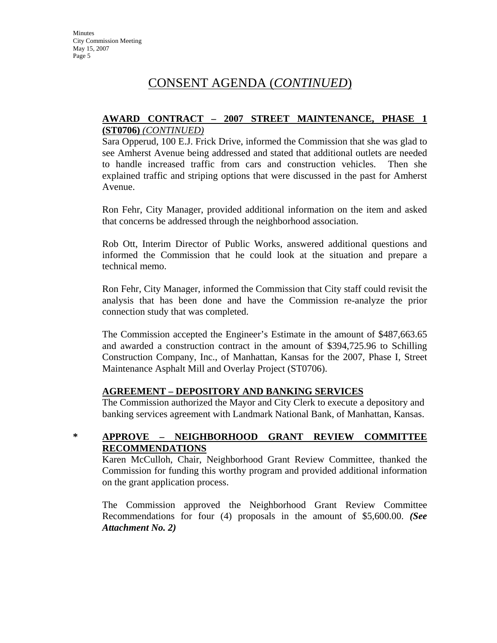## CONSENT AGENDA (*CONTINUED*)

#### **AWARD CONTRACT – 2007 STREET MAINTENANCE, PHASE 1 (ST0706)** *(CONTINUED)*

Sara Opperud, 100 E.J. Frick Drive, informed the Commission that she was glad to see Amherst Avenue being addressed and stated that additional outlets are needed to handle increased traffic from cars and construction vehicles. Then she explained traffic and striping options that were discussed in the past for Amherst Avenue.

Ron Fehr, City Manager, provided additional information on the item and asked that concerns be addressed through the neighborhood association.

Rob Ott, Interim Director of Public Works, answered additional questions and informed the Commission that he could look at the situation and prepare a technical memo.

Ron Fehr, City Manager, informed the Commission that City staff could revisit the analysis that has been done and have the Commission re-analyze the prior connection study that was completed.

The Commission accepted the Engineer's Estimate in the amount of \$487,663.65 and awarded a construction contract in the amount of \$394,725.96 to Schilling Construction Company, Inc., of Manhattan, Kansas for the 2007, Phase I, Street Maintenance Asphalt Mill and Overlay Project (ST0706).

#### **AGREEMENT – DEPOSITORY AND BANKING SERVICES**

The Commission authorized the Mayor and City Clerk to execute a depository and banking services agreement with Landmark National Bank, of Manhattan, Kansas.

#### **\* APPROVE – NEIGHBORHOOD GRANT REVIEW COMMITTEE RECOMMENDATIONS**

Karen McCulloh, Chair, Neighborhood Grant Review Committee, thanked the Commission for funding this worthy program and provided additional information on the grant application process.

The Commission approved the Neighborhood Grant Review Committee Recommendations for four (4) proposals in the amount of \$5,600.00. *(See Attachment No. 2)*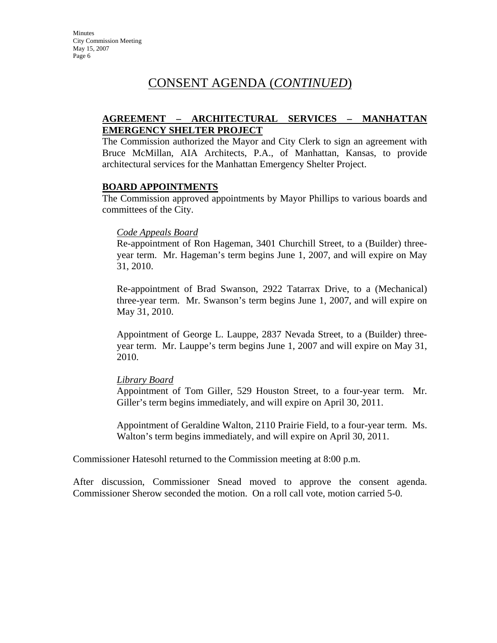## CONSENT AGENDA (*CONTINUED*)

#### **AGREEMENT – ARCHITECTURAL SERVICES – MANHATTAN EMERGENCY SHELTER PROJECT**

The Commission authorized the Mayor and City Clerk to sign an agreement with Bruce McMillan, AIA Architects, P.A., of Manhattan, Kansas, to provide architectural services for the Manhattan Emergency Shelter Project.

#### **BOARD APPOINTMENTS**

The Commission approved appointments by Mayor Phillips to various boards and committees of the City.

#### *Code Appeals Board*

Re-appointment of Ron Hageman, 3401 Churchill Street, to a (Builder) threeyear term. Mr. Hageman's term begins June 1, 2007, and will expire on May 31, 2010.

Re-appointment of Brad Swanson, 2922 Tatarrax Drive, to a (Mechanical) three-year term. Mr. Swanson's term begins June 1, 2007, and will expire on May 31, 2010.

Appointment of George L. Lauppe, 2837 Nevada Street, to a (Builder) threeyear term. Mr. Lauppe's term begins June 1, 2007 and will expire on May 31, 2010.

#### *Library Board*

Appointment of Tom Giller, 529 Houston Street, to a four-year term. Mr. Giller's term begins immediately, and will expire on April 30, 2011.

Appointment of Geraldine Walton, 2110 Prairie Field, to a four-year term. Ms. Walton's term begins immediately, and will expire on April 30, 2011.

Commissioner Hatesohl returned to the Commission meeting at 8:00 p.m.

After discussion, Commissioner Snead moved to approve the consent agenda. Commissioner Sherow seconded the motion. On a roll call vote, motion carried 5-0.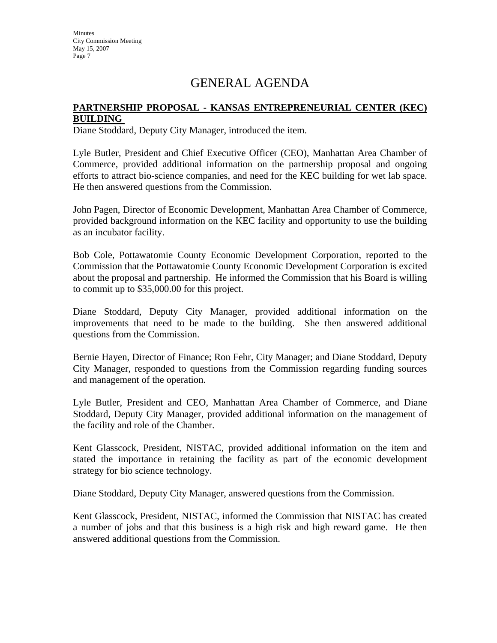## GENERAL AGENDA

#### **PARTNERSHIP PROPOSAL - KANSAS ENTREPRENEURIAL CENTER (KEC) BUILDING**

Diane Stoddard, Deputy City Manager, introduced the item.

Lyle Butler, President and Chief Executive Officer (CEO), Manhattan Area Chamber of Commerce, provided additional information on the partnership proposal and ongoing efforts to attract bio-science companies, and need for the KEC building for wet lab space. He then answered questions from the Commission.

John Pagen, Director of Economic Development, Manhattan Area Chamber of Commerce, provided background information on the KEC facility and opportunity to use the building as an incubator facility.

Bob Cole, Pottawatomie County Economic Development Corporation, reported to the Commission that the Pottawatomie County Economic Development Corporation is excited about the proposal and partnership. He informed the Commission that his Board is willing to commit up to \$35,000.00 for this project.

Diane Stoddard, Deputy City Manager, provided additional information on the improvements that need to be made to the building. She then answered additional questions from the Commission.

Bernie Hayen, Director of Finance; Ron Fehr, City Manager; and Diane Stoddard, Deputy City Manager, responded to questions from the Commission regarding funding sources and management of the operation.

Lyle Butler, President and CEO, Manhattan Area Chamber of Commerce, and Diane Stoddard, Deputy City Manager, provided additional information on the management of the facility and role of the Chamber.

Kent Glasscock, President, NISTAC, provided additional information on the item and stated the importance in retaining the facility as part of the economic development strategy for bio science technology.

Diane Stoddard, Deputy City Manager, answered questions from the Commission.

Kent Glasscock, President, NISTAC, informed the Commission that NISTAC has created a number of jobs and that this business is a high risk and high reward game. He then answered additional questions from the Commission.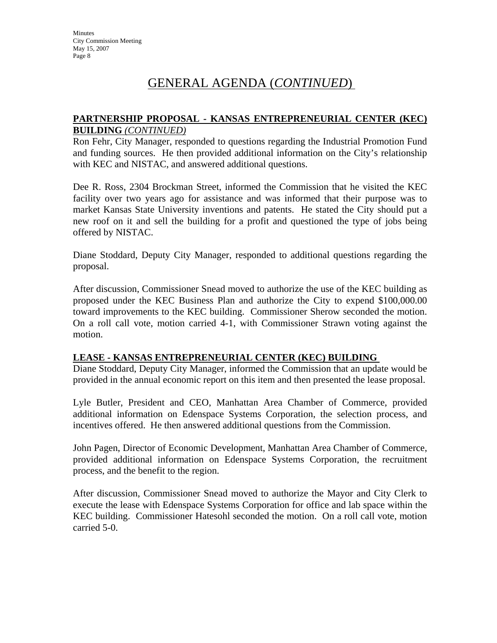## GENERAL AGENDA (*CONTINUED*)

#### **PARTNERSHIP PROPOSAL - KANSAS ENTREPRENEURIAL CENTER (KEC) BUILDING** *(CONTINUED)*

Ron Fehr, City Manager, responded to questions regarding the Industrial Promotion Fund and funding sources. He then provided additional information on the City's relationship with KEC and NISTAC, and answered additional questions.

Dee R. Ross, 2304 Brockman Street, informed the Commission that he visited the KEC facility over two years ago for assistance and was informed that their purpose was to market Kansas State University inventions and patents. He stated the City should put a new roof on it and sell the building for a profit and questioned the type of jobs being offered by NISTAC.

Diane Stoddard, Deputy City Manager, responded to additional questions regarding the proposal.

After discussion, Commissioner Snead moved to authorize the use of the KEC building as proposed under the KEC Business Plan and authorize the City to expend \$100,000.00 toward improvements to the KEC building. Commissioner Sherow seconded the motion. On a roll call vote, motion carried 4-1, with Commissioner Strawn voting against the motion.

#### **LEASE - KANSAS ENTREPRENEURIAL CENTER (KEC) BUILDING**

Diane Stoddard, Deputy City Manager, informed the Commission that an update would be provided in the annual economic report on this item and then presented the lease proposal.

Lyle Butler, President and CEO, Manhattan Area Chamber of Commerce, provided additional information on Edenspace Systems Corporation, the selection process, and incentives offered. He then answered additional questions from the Commission.

John Pagen, Director of Economic Development, Manhattan Area Chamber of Commerce, provided additional information on Edenspace Systems Corporation, the recruitment process, and the benefit to the region.

After discussion, Commissioner Snead moved to authorize the Mayor and City Clerk to execute the lease with Edenspace Systems Corporation for office and lab space within the KEC building. Commissioner Hatesohl seconded the motion. On a roll call vote, motion carried 5-0.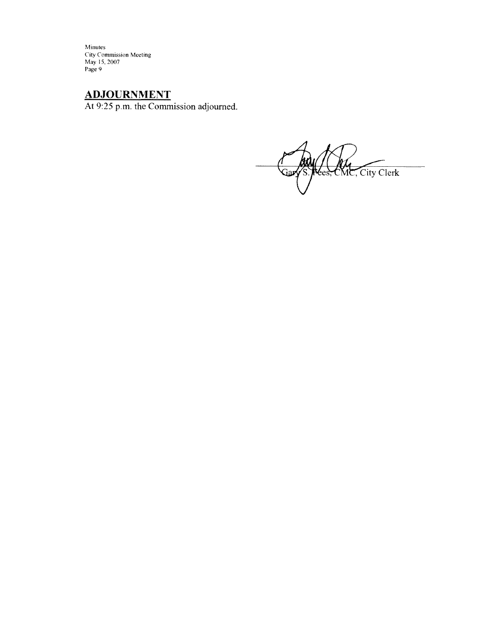Minutes Figures<br>City Commission Meeting<br>May 15, 2007<br>Page 9

**ADJOURNMENT**<br>At 9:25 p.m. the Commission adjourned.

 $\overline{\phantom{a}}$ S. Rees, CMC, City Clerk Jar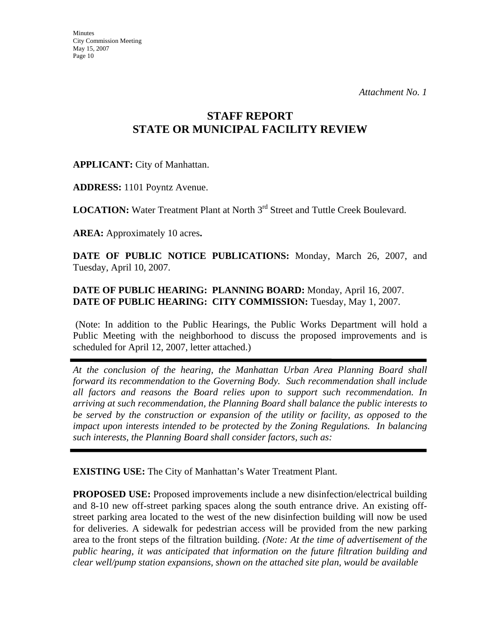## **STAFF REPORT STATE OR MUNICIPAL FACILITY REVIEW**

### **APPLICANT:** City of Manhattan.

**ADDRESS:** 1101 Poyntz Avenue.

**LOCATION:** Water Treatment Plant at North 3<sup>rd</sup> Street and Tuttle Creek Boulevard.

**AREA:** Approximately 10 acres**.**

**DATE OF PUBLIC NOTICE PUBLICATIONS:** Monday, March 26, 2007, and Tuesday, April 10, 2007.

### **DATE OF PUBLIC HEARING: PLANNING BOARD:** Monday, April 16, 2007. **DATE OF PUBLIC HEARING: CITY COMMISSION:** Tuesday, May 1, 2007.

 (Note: In addition to the Public Hearings, the Public Works Department will hold a Public Meeting with the neighborhood to discuss the proposed improvements and is scheduled for April 12, 2007, letter attached.)

*At the conclusion of the hearing, the Manhattan Urban Area Planning Board shall forward its recommendation to the Governing Body. Such recommendation shall include all factors and reasons the Board relies upon to support such recommendation. In arriving at such recommendation, the Planning Board shall balance the public interests to be served by the construction or expansion of the utility or facility, as opposed to the impact upon interests intended to be protected by the Zoning Regulations. In balancing such interests, the Planning Board shall consider factors, such as:* 

**EXISTING USE:** The City of Manhattan's Water Treatment Plant.

**PROPOSED USE:** Proposed improvements include a new disinfection/electrical building and 8-10 new off-street parking spaces along the south entrance drive. An existing offstreet parking area located to the west of the new disinfection building will now be used for deliveries. A sidewalk for pedestrian access will be provided from the new parking area to the front steps of the filtration building. *(Note: At the time of advertisement of the public hearing, it was anticipated that information on the future filtration building and clear well/pump station expansions, shown on the attached site plan, would be available*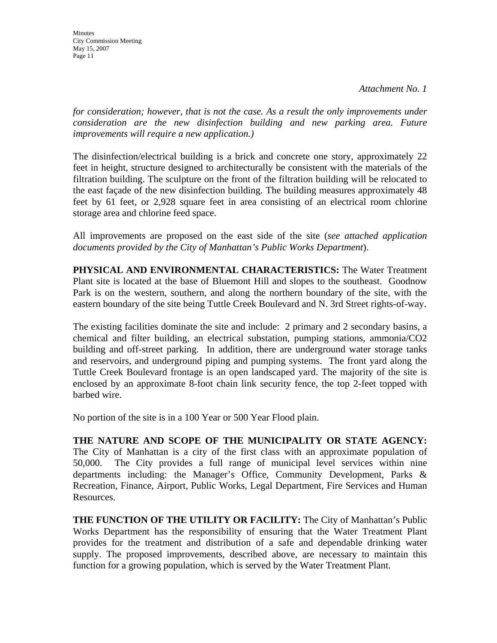**Minutes** City Commission Meeting May 15, 2007 Page 11

*for consideration; however, that is not the case. As a result the only improvements under consideration are the new disinfection building and new parking area. Future improvements will require a new application.)*

The disinfection/electrical building is a brick and concrete one story, approximately 22 feet in height, structure designed to architecturally be consistent with the materials of the filtration building. The sculpture on the front of the filtration building will be relocated to the east façade of the new disinfection building. The building measures approximately 48 feet by 61 feet, or 2,928 square feet in area consisting of an electrical room chlorine storage area and chlorine feed space.

All improvements are proposed on the east side of the site (*see attached application documents provided by the City of Manhattan's Public Works Department*).

**PHYSICAL AND ENVIRONMENTAL CHARACTERISTICS:** The Water Treatment Plant site is located at the base of Bluemont Hill and slopes to the southeast. Goodnow Park is on the western, southern, and along the northern boundary of the site, with the eastern boundary of the site being Tuttle Creek Boulevard and N. 3rd Street rights-of-way.

The existing facilities dominate the site and include: 2 primary and 2 secondary basins, a chemical and filter building, an electrical substation, pumping stations, ammonia/CO2 building and off-street parking. In addition, there are underground water storage tanks and reservoirs, and underground piping and pumping systems. The front yard along the Tuttle Creek Boulevard frontage is an open landscaped yard. The majority of the site is enclosed by an approximate 8-foot chain link security fence, the top 2-feet topped with barbed wire.

No portion of the site is in a 100 Year or 500 Year Flood plain.

**THE NATURE AND SCOPE OF THE MUNICIPALITY OR STATE AGENCY:**  The City of Manhattan is a city of the first class with an approximate population of 50,000. The City provides a full range of municipal level services within nine departments including: the Manager's Office, Community Development, Parks & Recreation, Finance, Airport, Public Works, Legal Department, Fire Services and Human Resources.

**THE FUNCTION OF THE UTILITY OR FACILITY:** The City of Manhattan's Public Works Department has the responsibility of ensuring that the Water Treatment Plant provides for the treatment and distribution of a safe and dependable drinking water supply. The proposed improvements, described above, are necessary to maintain this function for a growing population, which is served by the Water Treatment Plant.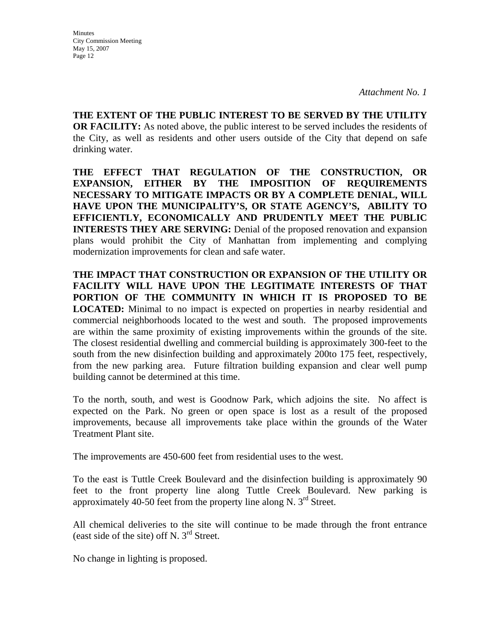*Attachment No. 1*

**THE EXTENT OF THE PUBLIC INTEREST TO BE SERVED BY THE UTILITY OR FACILITY:** As noted above, the public interest to be served includes the residents of the City, as well as residents and other users outside of the City that depend on safe drinking water.

**THE EFFECT THAT REGULATION OF THE CONSTRUCTION, OR EXPANSION, EITHER BY THE IMPOSITION OF REQUIREMENTS NECESSARY TO MITIGATE IMPACTS OR BY A COMPLETE DENIAL, WILL HAVE UPON THE MUNICIPALITY'S, OR STATE AGENCY'S, ABILITY TO EFFICIENTLY, ECONOMICALLY AND PRUDENTLY MEET THE PUBLIC INTERESTS THEY ARE SERVING:** Denial of the proposed renovation and expansion plans would prohibit the City of Manhattan from implementing and complying modernization improvements for clean and safe water.

**THE IMPACT THAT CONSTRUCTION OR EXPANSION OF THE UTILITY OR FACILITY WILL HAVE UPON THE LEGITIMATE INTERESTS OF THAT PORTION OF THE COMMUNITY IN WHICH IT IS PROPOSED TO BE LOCATED:** Minimal to no impact is expected on properties in nearby residential and commercial neighborhoods located to the west and south. The proposed improvements are within the same proximity of existing improvements within the grounds of the site. The closest residential dwelling and commercial building is approximately 300-feet to the south from the new disinfection building and approximately 200to 175 feet, respectively, from the new parking area. Future filtration building expansion and clear well pump building cannot be determined at this time.

To the north, south, and west is Goodnow Park, which adjoins the site. No affect is expected on the Park. No green or open space is lost as a result of the proposed improvements, because all improvements take place within the grounds of the Water Treatment Plant site.

The improvements are 450-600 feet from residential uses to the west.

To the east is Tuttle Creek Boulevard and the disinfection building is approximately 90 feet to the front property line along Tuttle Creek Boulevard. New parking is approximately 40-50 feet from the property line along N.  $3<sup>rd</sup>$  Street.

All chemical deliveries to the site will continue to be made through the front entrance (east side of the site) off N.  $3<sup>rd</sup>$  Street.

No change in lighting is proposed.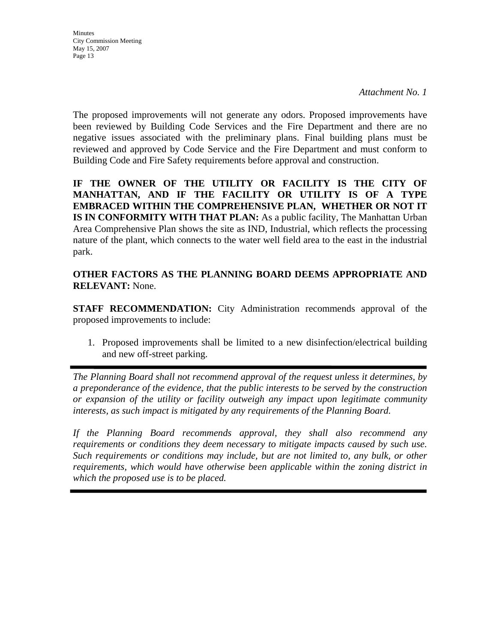*Attachment No. 1*

The proposed improvements will not generate any odors. Proposed improvements have been reviewed by Building Code Services and the Fire Department and there are no negative issues associated with the preliminary plans. Final building plans must be reviewed and approved by Code Service and the Fire Department and must conform to Building Code and Fire Safety requirements before approval and construction.

IF THE OWNER OF THE UTILITY OR FACILITY IS THE CITY OF **MANHATTAN, AND IF THE FACILITY OR UTILITY IS OF A TYPE EMBRACED WITHIN THE COMPREHENSIVE PLAN, WHETHER OR NOT IT IS IN CONFORMITY WITH THAT PLAN:** As a public facility, The Manhattan Urban Area Comprehensive Plan shows the site as IND, Industrial, which reflects the processing nature of the plant, which connects to the water well field area to the east in the industrial park.

**OTHER FACTORS AS THE PLANNING BOARD DEEMS APPROPRIATE AND RELEVANT:** None.

**STAFF RECOMMENDATION:** City Administration recommends approval of the proposed improvements to include:

1. Proposed improvements shall be limited to a new disinfection/electrical building and new off-street parking.

*The Planning Board shall not recommend approval of the request unless it determines, by a preponderance of the evidence, that the public interests to be served by the construction or expansion of the utility or facility outweigh any impact upon legitimate community interests, as such impact is mitigated by any requirements of the Planning Board.* 

*If the Planning Board recommends approval, they shall also recommend any requirements or conditions they deem necessary to mitigate impacts caused by such use. Such requirements or conditions may include, but are not limited to, any bulk, or other requirements, which would have otherwise been applicable within the zoning district in which the proposed use is to be placed.*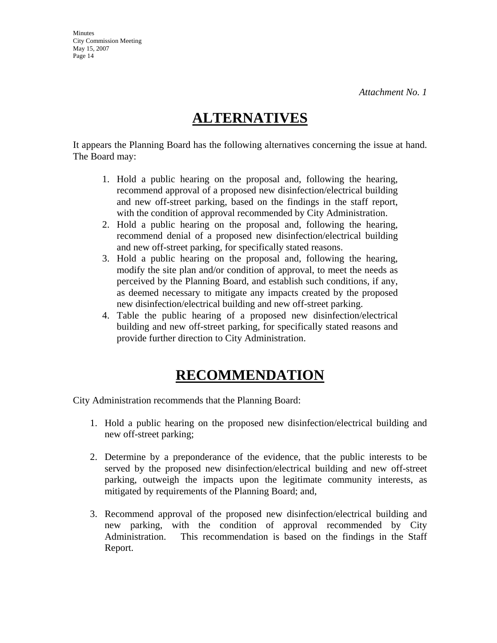# **ALTERNATIVES**

It appears the Planning Board has the following alternatives concerning the issue at hand. The Board may:

- 1. Hold a public hearing on the proposal and, following the hearing, recommend approval of a proposed new disinfection/electrical building and new off-street parking, based on the findings in the staff report, with the condition of approval recommended by City Administration.
- 2. Hold a public hearing on the proposal and, following the hearing, recommend denial of a proposed new disinfection/electrical building and new off-street parking, for specifically stated reasons.
- 3. Hold a public hearing on the proposal and, following the hearing, modify the site plan and/or condition of approval, to meet the needs as perceived by the Planning Board, and establish such conditions, if any, as deemed necessary to mitigate any impacts created by the proposed new disinfection/electrical building and new off-street parking.
- 4. Table the public hearing of a proposed new disinfection/electrical building and new off-street parking, for specifically stated reasons and provide further direction to City Administration.

# **RECOMMENDATION**

City Administration recommends that the Planning Board:

- 1. Hold a public hearing on the proposed new disinfection/electrical building and new off-street parking;
- 2. Determine by a preponderance of the evidence, that the public interests to be served by the proposed new disinfection/electrical building and new off-street parking, outweigh the impacts upon the legitimate community interests, as mitigated by requirements of the Planning Board; and,
- 3. Recommend approval of the proposed new disinfection/electrical building and new parking, with the condition of approval recommended by City Administration. This recommendation is based on the findings in the Staff Report.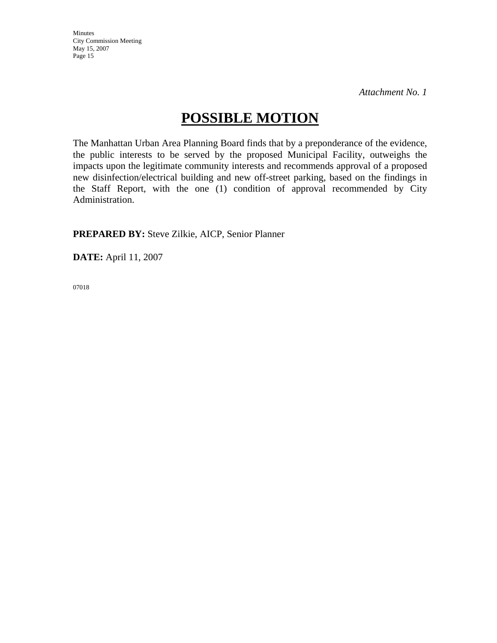*Attachment No. 1*

# **POSSIBLE MOTION**

The Manhattan Urban Area Planning Board finds that by a preponderance of the evidence, the public interests to be served by the proposed Municipal Facility, outweighs the impacts upon the legitimate community interests and recommends approval of a proposed new disinfection/electrical building and new off-street parking, based on the findings in the Staff Report, with the one (1) condition of approval recommended by City Administration.

**PREPARED BY:** Steve Zilkie, AICP, Senior Planner

**DATE:** April 11, 2007

07018